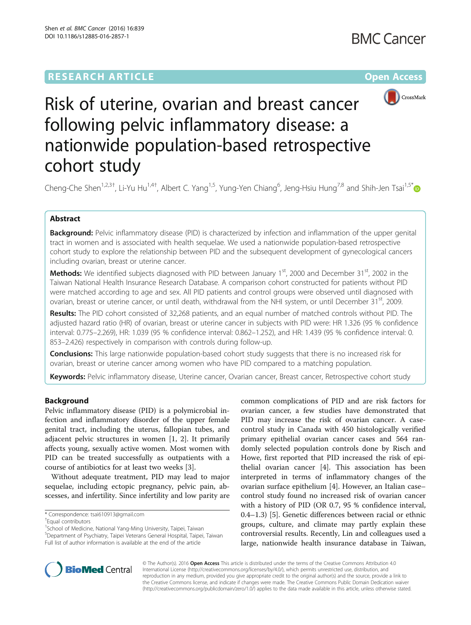# **RESEARCH ARTICLE Example 2014 12:30 The Contract of Contract ACCESS**



# Risk of uterine, ovarian and breast cancer following pelvic inflammatory disease: a nationwide population-based retrospective cohort study

Cheng-Che Shen<sup>1,2,3†</sup>, Li-Yu Hu<sup>1,4†</sup>, Albert C. Yang<sup>1,5</sup>, Yung-Yen Chiang<sup>6</sup>, Jeng-Hsiu Hung<sup>7,8</sup> and Shih-Jen Tsai<sup>1,5[\\*](http://orcid.org/0000-0002-9987-022X)</sup>

# Abstract

**Background:** Pelvic inflammatory disease (PID) is characterized by infection and inflammation of the upper genital tract in women and is associated with health sequelae. We used a nationwide population-based retrospective cohort study to explore the relationship between PID and the subsequent development of gynecological cancers including ovarian, breast or uterine cancer.

Methods: We identified subjects diagnosed with PID between January 1st, 2000 and December 31st, 2002 in the Taiwan National Health Insurance Research Database. A comparison cohort constructed for patients without PID were matched according to age and sex. All PID patients and control groups were observed until diagnosed with ovarian, breast or uterine cancer, or until death, withdrawal from the NHI system, or until December 31<sup>st</sup>, 2009.

Results: The PID cohort consisted of 32,268 patients, and an equal number of matched controls without PID. The adjusted hazard ratio (HR) of ovarian, breast or uterine cancer in subjects with PID were: HR 1.326 (95 % confidence interval: 0.775–2.269), HR: 1.039 (95 % confidence interval: 0.862–1.252), and HR: 1.439 (95 % confidence interval: 0. 853–2.426) respectively in comparison with controls during follow-up.

**Conclusions:** This large nationwide population-based cohort study suggests that there is no increased risk for ovarian, breast or uterine cancer among women who have PID compared to a matching population.

Keywords: Pelvic inflammatory disease, Uterine cancer, Ovarian cancer, Breast cancer, Retrospective cohort study

# Background

Pelvic inflammatory disease (PID) is a polymicrobial infection and inflammatory disorder of the upper female genital tract, including the uterus, fallopian tubes, and adjacent pelvic structures in women [[1, 2](#page-5-0)]. It primarily affects young, sexually active women. Most women with PID can be treated successfully as outpatients with a course of antibiotics for at least two weeks [\[3](#page-5-0)].

Without adequate treatment, PID may lead to major sequelae, including ectopic pregnancy, pelvic pain, abscesses, and infertility. Since infertility and low parity are

<sup>1</sup>School of Medicine, National Yang-Ming University, Taipei, Taiwan 5 Department of Psychiatry, Taipei Veterans General Hospital, Taipei, Taiwan Full list of author information is available at the end of the article

common complications of PID and are risk factors for ovarian cancer, a few studies have demonstrated that PID may increase the risk of ovarian cancer. A casecontrol study in Canada with 450 histologically verified primary epithelial ovarian cancer cases and 564 randomly selected population controls done by Risch and Howe, first reported that PID increased the risk of epithelial ovarian cancer [[4\]](#page-5-0). This association has been interpreted in terms of inflammatory changes of the ovarian surface epithelium [[4](#page-5-0)]. However, an Italian case– control study found no increased risk of ovarian cancer with a history of PID (OR 0.7, 95 % confidence interval, 0.4–1.3) [\[5\]](#page-5-0). Genetic differences between racial or ethnic groups, culture, and climate may partly explain these controversial results. Recently, Lin and colleagues used a large, nationwide health insurance database in Taiwan,



© The Author(s). 2016 Open Access This article is distributed under the terms of the Creative Commons Attribution 4.0 International License [\(http://creativecommons.org/licenses/by/4.0/](http://creativecommons.org/licenses/by/4.0/)), which permits unrestricted use, distribution, and reproduction in any medium, provided you give appropriate credit to the original author(s) and the source, provide a link to the Creative Commons license, and indicate if changes were made. The Creative Commons Public Domain Dedication waiver [\(http://creativecommons.org/publicdomain/zero/1.0/](http://creativecommons.org/publicdomain/zero/1.0/)) applies to the data made available in this article, unless otherwise stated.

<sup>\*</sup> Correspondence: [tsai610913@gmail.com](mailto:tsai610913@gmail.com) †

Equal contributors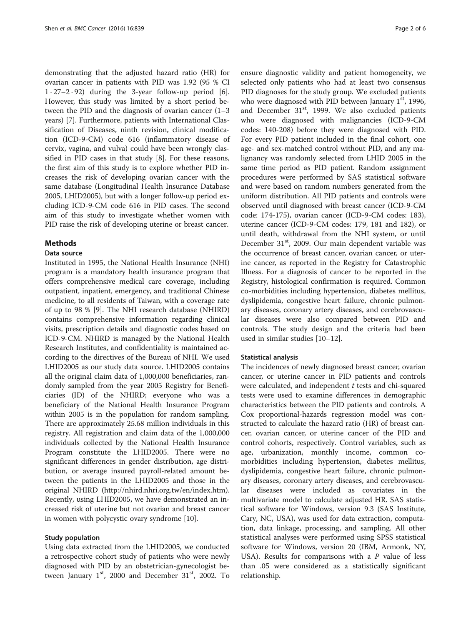demonstrating that the adjusted hazard ratio (HR) for ovarian cancer in patients with PID was 1.92 (95 % CI  $1 \cdot 27 - 2 \cdot 92$  during the 3-year follow-up period [\[6](#page-5-0)]. However, this study was limited by a short period between the PID and the diagnosis of ovarian cancer (1–3 years) [[7\]](#page-5-0). Furthermore, patients with International Classification of Diseases, ninth revision, clinical modification (ICD-9-CM) code 616 (inflammatory disease of cervix, vagina, and vulva) could have been wrongly classified in PID cases in that study [\[8](#page-5-0)]. For these reasons, the first aim of this study is to explore whether PID increases the risk of developing ovarian cancer with the same database (Longitudinal Health Insurance Database 2005, LHID2005), but with a longer follow-up period excluding ICD-9-CM code 616 in PID cases. The second aim of this study to investigate whether women with PID raise the risk of developing uterine or breast cancer.

# Methods

# Data source

Instituted in 1995, the National Health Insurance (NHI) program is a mandatory health insurance program that offers comprehensive medical care coverage, including outpatient, inpatient, emergency, and traditional Chinese medicine, to all residents of Taiwan, with a coverage rate of up to 98 % [\[9](#page-5-0)]. The NHI research database (NHIRD) contains comprehensive information regarding clinical visits, prescription details and diagnostic codes based on ICD-9-CM. NHIRD is managed by the National Health Research Institutes, and confidentiality is maintained according to the directives of the Bureau of NHI. We used LHID2005 as our study data source. LHID2005 contains all the original claim data of 1,000,000 beneficiaries, randomly sampled from the year 2005 Registry for Beneficiaries (ID) of the NHIRD; everyone who was a beneficiary of the National Health Insurance Program within 2005 is in the population for random sampling. There are approximately 25.68 million individuals in this registry. All registration and claim data of the 1,000,000 individuals collected by the National Health Insurance Program constitute the LHID2005. There were no significant differences in gender distribution, age distribution, or average insured payroll-related amount between the patients in the LHID2005 and those in the original NHIRD (<http://nhird.nhri.org.tw/en/index.htm>). Recently, using LHID2005, we have demonstrated an increased risk of uterine but not ovarian and breast cancer in women with polycystic ovary syndrome [[10](#page-5-0)].

# Study population

Using data extracted from the LHID2005, we conducted a retrospective cohort study of patients who were newly diagnosed with PID by an obstetrician-gynecologist between January  $1<sup>st</sup>$ , 2000 and December 31 $<sup>st</sup>$ , 2002. To</sup>

ensure diagnostic validity and patient homogeneity, we selected only patients who had at least two consensus PID diagnoses for the study group. We excluded patients who were diagnosed with PID between January  $1<sup>st</sup>$ , 1996, and December  $31<sup>st</sup>$ , 1999. We also excluded patients who were diagnosed with malignancies (ICD-9-CM codes: 140-208) before they were diagnosed with PID. For every PID patient included in the final cohort, one age- and sex-matched control without PID, and any malignancy was randomly selected from LHID 2005 in the same time period as PID patient. Random assignment procedures were performed by SAS statistical software and were based on random numbers generated from the uniform distribution. All PID patients and controls were observed until diagnosed with breast cancer (ICD-9-CM code: 174-175), ovarian cancer (ICD-9-CM codes: 183), uterine cancer (ICD-9-CM codes: 179, 181 and 182), or until death, withdrawal from the NHI system, or until December 31<sup>st</sup>, 2009. Our main dependent variable was the occurrence of breast cancer, ovarian cancer, or uterine cancer, as reported in the Registry for Catastrophic Illness. For a diagnosis of cancer to be reported in the Registry, histological confirmation is required. Common co-morbidities including hypertension, diabetes mellitus, dyslipidemia, congestive heart failure, chronic pulmonary diseases, coronary artery diseases, and cerebrovascular diseases were also compared between PID and controls. The study design and the criteria had been used in similar studies [\[10](#page-5-0)–[12\]](#page-5-0).

## Statistical analysis

The incidences of newly diagnosed breast cancer, ovarian cancer, or uterine cancer in PID patients and controls were calculated, and independent  $t$  tests and chi-squared tests were used to examine differences in demographic characteristics between the PID patients and controls. A Cox proportional-hazards regression model was constructed to calculate the hazard ratio (HR) of breast cancer, ovarian cancer, or uterine cancer of the PID and control cohorts, respectively. Control variables, such as age, urbanization, monthly income, common comorbidities including hypertension, diabetes mellitus, dyslipidemia, congestive heart failure, chronic pulmonary diseases, coronary artery diseases, and cerebrovascular diseases were included as covariates in the multivariate model to calculate adjusted HR. SAS statistical software for Windows, version 9.3 (SAS Institute, Cary, NC, USA), was used for data extraction, computation, data linkage, processing, and sampling. All other statistical analyses were performed using SPSS statistical software for Windows, version 20 (IBM, Armonk, NY, USA). Results for comparisons with a  $P$  value of less than .05 were considered as a statistically significant relationship.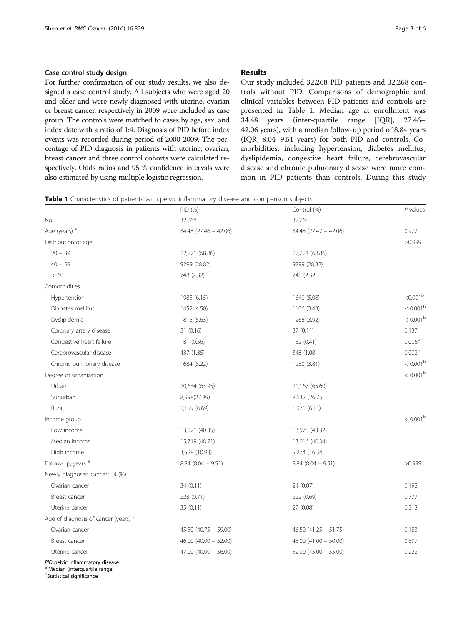<span id="page-2-0"></span>For further confirmation of our study results, we also designed a case control study. All subjects who were aged 20 and older and were newly diagnosed with uterine, ovarian or breast cancer, respectively in 2009 were included as case group. The controls were matched to cases by age, sex, and index date with a ratio of 1:4. Diagnosis of PID before index events was recorded during period of 2000-2009. The percentage of PID diagnosis in patients with uterine, ovarian, breast cancer and three control cohorts were calculated respectively. Odds ratios and 95 % confidence intervals were also estimated by using multiple logistic regression.

# Results

Our study included 32,268 PID patients and 32,268 controls without PID. Comparisons of demographic and clinical variables between PID patients and controls are presented in Table 1. Median age at enrollment was 34.48 years (inter-quartile range [IQR], 27.46– 42.06 years), with a median follow-up period of 8.84 years (IQR, 8.04–9.51 years) for both PID and controls. Comorbidities, including hypertension, diabetes mellitus, dyslipidemia, congestive heart failure, cerebrovascular disease and chronic pulmonary disease were more common in PID patients than controls. During this study

|  |  |  |  |  | <b>Table 1</b> Characteristics of patients with pelvic inflammatory disease and comparison subjects |  |
|--|--|--|--|--|-----------------------------------------------------------------------------------------------------|--|
|--|--|--|--|--|-----------------------------------------------------------------------------------------------------|--|

|                                                 | PID (%)                   | Control (%)              | $P$ values         |
|-------------------------------------------------|---------------------------|--------------------------|--------------------|
| No.                                             | 32,268                    | 32,268                   |                    |
| Age (years) <sup>a</sup>                        | 34.48 (27.46 - 42.06)     | 34.48 (27.47 - 42.06)    | 0.972              |
| Distribution of age                             |                           |                          | >0.999             |
| $20 - 39$                                       | 22,221 (68.86)            | 22,221 (68.86)           |                    |
| $40 - 59$                                       | 9299 (28.82)              | 9299 (28.82)             |                    |
| >60                                             | 748 (2.32)                | 748 (2.32)               |                    |
| Comorbidities                                   |                           |                          |                    |
| Hypertension                                    | 1985 (6.15)               | 1640 (5.08)              | $< 0.001^{\rm b}$  |
| Diabetes mellitus                               | 1452 (4.50)               | 1106 (3.43)              | $< 0.001^{\rm b}$  |
| Dyslipidemia                                    | 1816 (5.63)               | 1266 (3.92)              | $< 0.001^{\rm b}$  |
| Coronary artery disease                         | 51(0.16)                  | 37 (0.11)                | 0.137              |
| Congestive heart failure                        | 181 (0.56)                | 132 (0.41)               | 0.006 <sup>b</sup> |
| Cerebrovascular disease                         | 437 (1.35)                | 348 (1.08)               | 0.002 <sup>b</sup> |
| Chronic pulmonary disease                       | 1684 (5.22)               | 1230 (3.81)              | $< 0.001^{\rm b}$  |
| Degree of urbanization                          |                           |                          | $< 0.001^{\rm b}$  |
| Urban                                           | 20,634 (63.95)            | 21,167 (65.60)           |                    |
| Suburban                                        | 8,998(27.89)              | 8,632 (26.75)            |                    |
| Rural                                           | 2,159 (6.69)              | 1,971 (6.11)             |                    |
| Income group                                    |                           |                          | $< 0.001^{\rm b}$  |
| Low income                                      | 13,021 (40.35)            | 13,978 (43.32)           |                    |
| Median income                                   | 15,719 (48.71)            | 13,016 (40.34)           |                    |
| High income                                     | 3,528 (10.93)             | 5,274 (16.34)            |                    |
| Follow-up, years a                              | $8.84(8.04 - 9.51)$       | $8.84$ ( $8.04 - 9.51$ ) | >0.999             |
| Newly diagnosed cancers, N (%)                  |                           |                          |                    |
| Ovarian cancer                                  | 34 (0.11)                 | 24 (0.07)                | 0.192              |
| Breast cancer                                   | 228 (0.71)                | 222 (0.69)               | 0.777              |
| Uterine cancer                                  | 35 (0.11)                 | 27 (0.08)                | 0.313              |
| Age of diagnosis of cancer (years) <sup>a</sup> |                           |                          |                    |
| Ovarian cancer                                  | $45.50$ (40.75 - 59.00)   | $46.50(41.25 - 51.75)$   | 0.183              |
| Breast cancer                                   | $46.00 (40.00 - 52.00)$   | $45.00(41.00 - 50.00)$   | 0.397              |
| Uterine cancer                                  | $47.00$ $(40.00 - 56.00)$ | $52.00$ (45.00 - 55.00)  | 0.222              |

PID pelvic inflammatory disease<br><sup>a</sup> Median (interquartile range)

<sup>b</sup>Statistical significance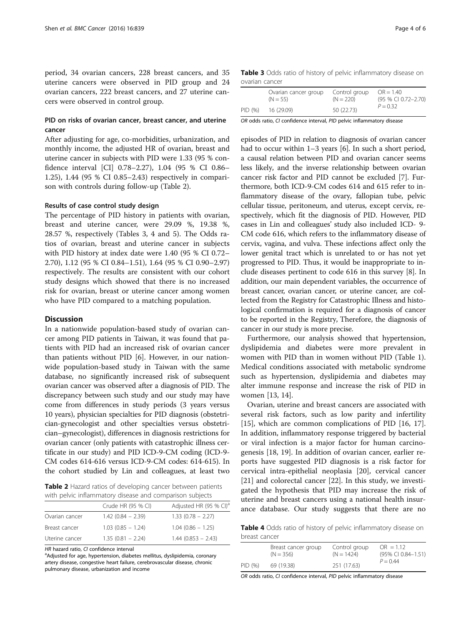period, 34 ovarian cancers, 228 breast cancers, and 35 uterine cancers were observed in PID group and 24 ovarian cancers, 222 breast cancers, and 27 uterine cancers were observed in control group.

# PID on risks of ovarian cancer, breast cancer, and uterine cancer

After adjusting for age, co-morbidities, urbanization, and monthly income, the adjusted HR of ovarian, breast and uterine cancer in subjects with PID were 1.33 (95 % confidence interval [CI] 0.78–2.27), 1.04 (95 % CI 0.86– 1.25), 1.44 (95 % CI 0.85–2.43) respectively in comparison with controls during follow-up (Table 2).

# Results of case control study design

The percentage of PID history in patients with ovarian, breast and uterine cancer, were 29.09 %, 19.38 %, 28.57 %, respectively (Tables 3, 4 and [5\)](#page-4-0). The Odds ratios of ovarian, breast and uterine cancer in subjects with PID history at index date were 1.40 (95 % CI 0.72– 2.70), 1.12 (95 % CI 0.84–1.51), 1.64 (95 % CI 0.90–2.97) respectively. The results are consistent with our cohort study designs which showed that there is no increased risk for ovarian, breast or uterine cancer among women who have PID compared to a matching population.

# **Discussion**

In a nationwide population-based study of ovarian cancer among PID patients in Taiwan, it was found that patients with PID had an increased risk of ovarian cancer than patients without PID [\[6](#page-5-0)]. However, in our nationwide population-based study in Taiwan with the same database, no significantly increased risk of subsequent ovarian cancer was observed after a diagnosis of PID. The discrepancy between such study and our study may have come from differences in study periods (3 years versus 10 years), physician specialties for PID diagnosis (obstetrician-gynecologist and other specialties versus obstetrician–gynecologist), differences in diagnosis restrictions for ovarian cancer (only patients with catastrophic illness certificate in our study) and PID ICD-9-CM coding (ICD-9- CM codes 614-616 versus ICD-9-CM codes: 614-615). In the cohort studied by Lin and colleagues, at least two

Table 2 Hazard ratios of developing cancer between patients with pelvic inflammatory disease and comparison subjects

|                | Crude HR (95 % CI)  | Adjusted HR (95 % CI) <sup>a</sup> |
|----------------|---------------------|------------------------------------|
| Ovarian cancer | $1.42(0.84 - 2.39)$ | $1.33(0.78 - 2.27)$                |
| Breast cancer  | $1.03(0.85 - 1.24)$ | $1.04(0.86 - 1.25)$                |
| Uterine cancer | $1.35(0.81 - 2.24)$ | $1.44(0.853 - 2.43)$               |

HR hazard ratio, CI confidence interval

<sup>a</sup>Adjusted for age, hypertension, diabetes mellitus, dyslipidemia, coronary artery disease, congestive heart failure, cerebrovascular disease, chronic pulmonary disease, urbanization and income

Table 3 Odds ratio of history of pelvic inflammatory disease on ovarian cancer

|         | Ovarian cancer group<br>$(N = 55)$ | Control group<br>$(N = 220)$ | $OR = 1.40$<br>(95 % CI 0.72-2.70)<br>$P = 0.32$ |
|---------|------------------------------------|------------------------------|--------------------------------------------------|
| PID (%) | 16 (29.09)                         | 50 (22.73)                   |                                                  |

OR odds ratio, CI confidence interval, PID pelvic inflammatory disease

episodes of PID in relation to diagnosis of ovarian cancer had to occur within 1–3 years [\[6\]](#page-5-0). In such a short period, a causal relation between PID and ovarian cancer seems less likely, and the inverse relationship between ovarian cancer risk factor and PID cannot be excluded [\[7](#page-5-0)]. Furthermore, both ICD-9-CM codes 614 and 615 refer to inflammatory disease of the ovary, fallopian tube, pelvic cellular tissue, peritoneum, and uterus, except cervix, respectively, which fit the diagnosis of PID. However, PID cases in Lin and colleagues' study also included ICD- 9- CM code 616, which refers to the inflammatory disease of cervix, vagina, and vulva. These infections affect only the lower genital tract which is unrelated to or has not yet progressed to PID. Thus, it would be inappropriate to include diseases pertinent to code 616 in this survey [[8\]](#page-5-0). In addition, our main dependent variables, the occurrence of breast cancer, ovarian cancer, or uterine cancer, are collected from the Registry for Catastrophic Illness and histological confirmation is required for a diagnosis of cancer to be reported in the Registry, Therefore, the diagnosis of cancer in our study is more precise.

Furthermore, our analysis showed that hypertension, dyslipidemia and diabetes were more prevalent in women with PID than in women without PID (Table [1](#page-2-0)). Medical conditions associated with metabolic syndrome such as hypertension, dyslipidemia and diabetes may alter immune response and increase the risk of PID in women [[13, 14](#page-5-0)].

Ovarian, uterine and breast cancers are associated with several risk factors, such as low parity and infertility [[15\]](#page-5-0), which are common complications of PID [[16](#page-5-0), [17](#page-5-0)]. In addition, inflammatory response triggered by bacterial or viral infection is a major factor for human carcinogenesis [\[18, 19](#page-5-0)]. In addition of ovarian cancer, earlier reports have suggested PID diagnosis is a risk factor for cervical intra-epithelial neoplasia [\[20\]](#page-5-0), cervical cancer [[21\]](#page-5-0) and colorectal cancer [[22](#page-5-0)]. In this study, we investigated the hypothesis that PID may increase the risk of uterine and breast cancers using a national health insurance database. Our study suggests that there are no

Table 4 Odds ratio of history of pelvic inflammatory disease on breast cancer

|         | Breast cancer group<br>$(N = 356)$ | Control group<br>$(N = 1424)$ | $OR = 1.12$<br>(95% CI 0.84-1.51) |  |
|---------|------------------------------------|-------------------------------|-----------------------------------|--|
| PID (%) | 69 (19.38)                         | 251 (17.63)                   | $P = 0.44$                        |  |

OR odds ratio, CI confidence interval, PID pelvic inflammatory disease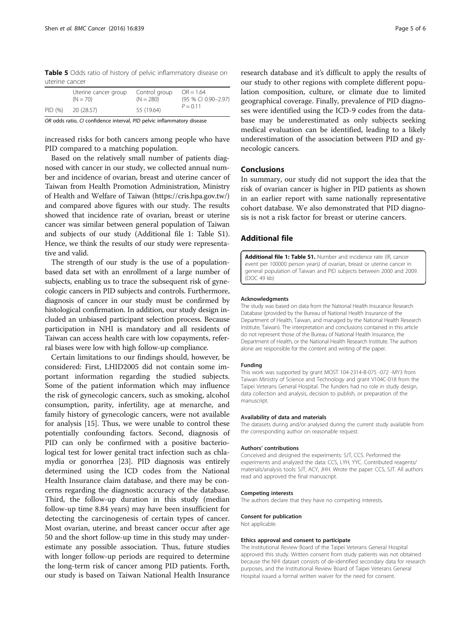<span id="page-4-0"></span>Table 5 Odds ratio of history of pelvic inflammatory disease on uterine cancer

|         | Uterine cancer group<br>$(N = 70)$ | Control group<br>$(N = 280)$ | $OR = 1.64$<br>(95 % CI 0.90-2.97)<br>$P = 0.11$ |
|---------|------------------------------------|------------------------------|--------------------------------------------------|
| PID (%) | 20 (28.57)                         | 55 (19.64)                   |                                                  |

OR odds ratio, CI confidence interval, PID pelvic inflammatory disease

increased risks for both cancers among people who have PID compared to a matching population.

Based on the relatively small number of patients diagnosed with cancer in our study, we collected annual number and incidence of ovarian, breast and uterine cancer of Taiwan from Health Promotion Administration, Ministry of Health and Welfare of Taiwan (<https://cris.hpa.gov.tw/>) and compared above figures with our study. The results showed that incidence rate of ovarian, breast or uterine cancer was similar between general population of Taiwan and subjects of our study (Additional file 1: Table S1). Hence, we think the results of our study were representative and valid.

The strength of our study is the use of a populationbased data set with an enrollment of a large number of subjects, enabling us to trace the subsequent risk of gynecologic cancers in PID subjects and controls. Furthermore, diagnosis of cancer in our study must be confirmed by histological confirmation. In addition, our study design included an unbiased participant selection process. Because participation in NHI is mandatory and all residents of Taiwan can access health care with low copayments, referral biases were low with high follow-up compliance.

Certain limitations to our findings should, however, be considered: First, LHID2005 did not contain some important information regarding the studied subjects. Some of the patient information which may influence the risk of gynecologic cancers, such as smoking, alcohol consumption, parity, infertility, age at menarche, and family history of gynecologic cancers, were not available for analysis [\[15\]](#page-5-0). Thus, we were unable to control these potentially confounding factors. Second, diagnosis of PID can only be confirmed with a positive bacteriological test for lower genital tract infection such as chlamydia or gonorrhea [[23\]](#page-5-0). PID diagnosis was entirely determined using the ICD codes from the National Health Insurance claim database, and there may be concerns regarding the diagnostic accuracy of the database. Third, the follow-up duration in this study (median follow-up time 8.84 years) may have been insufficient for detecting the carcinogenesis of certain types of cancer. Most ovarian, uterine, and breast cancer occur after age 50 and the short follow-up time in this study may underestimate any possible association. Thus, future studies with longer follow-up periods are required to determine the long-term risk of cancer among PID patients. Forth, our study is based on Taiwan National Health Insurance

research database and it's difficult to apply the results of our study to other regions with complete different population composition, culture, or climate due to limited geographical coverage. Finally, prevalence of PID diagnoses were identified using the ICD-9 codes from the database may be underestimated as only subjects seeking medical evaluation can be identified, leading to a likely underestimation of the association between PID and gynecologic cancers.

# Conclusions

In summary, our study did not support the idea that the risk of ovarian cancer is higher in PID patients as shown in an earlier report with same nationally representative cohort database. We also demonstrated that PID diagnosis is not a risk factor for breast or uterine cancers.

# Additional file

[Additional file 1: Table S1.](dx.doi.org/10.1186/s12885-016-2857-1) Number and incidence rate (IR, cancer event per 100000 person years) of ovarian, breast or uterine cancer in general population of Taiwan and PID subjects between 2000 and 2009. (DOC 49 kb)

#### Acknowledgments

The study was based on data from the National Health Insurance Research Database (provided by the Bureau of National Health Insurance of the Department of Health, Taiwan, and managed by the National Health Research Institute, Taiwan). The interpretation and conclusions contained in this article do not represent those of the Bureau of National Health Insurance, the Department of Health, or the National Health Research Institute. The authors alone are responsible for the content and writing of the paper.

#### Funding

This work was supported by grant MOST 104-2314-B-075 -072 -MY3 from Taiwan Ministry of Science and Technology and grant V104C-018 from the Taipei Veterans General Hospital. The funders had no role in study design, data collection and analysis, decision to publish, or preparation of the manuscript.

# Availability of data and materials

The datasets during and/or analysed during the current study available from the corresponding author on reasonable request.

#### Authors' contributions

Conceived and designed the experiments: SJT, CCS. Performed the experiments and analyzed the data: CCS, LYH, YYC. Contributed reagents/ materials/analysis tools: SJT, ACY, JHH. Wrote the paper: CCS, SJT. All authors read and approved the final manuscript.

#### Competing interests

The authors declare that they have no competing interests.

## Consent for publication

Not applicable.

#### Ethics approval and consent to participate

The Institutional Review Board of the Taipei Veterans General Hospital approved this study. Written consent from study patients was not obtained because the NHI dataset consists of de-identified secondary data for research purposes, and the Institutional Review Board of Taipei Veterans General Hospital issued a formal written waiver for the need for consent.